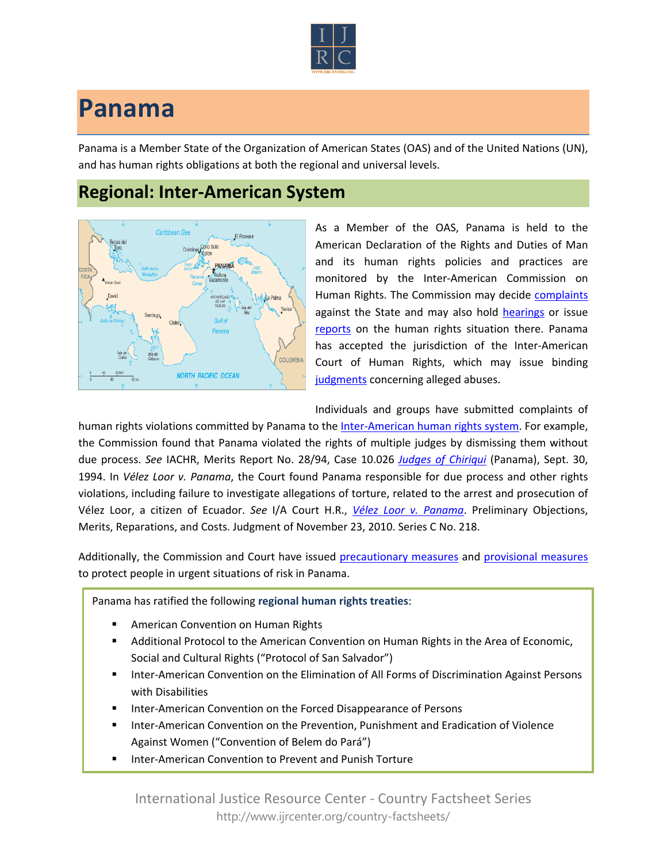

## **Panama**

Panama is a Member State of the Organization of American States (OAS) and of the United Nations (UN), and has human rights obligations at both the regional and universal levels.

## **Regional: Inter-American System**



As a Member of the OAS, Panama is held to the American Declaration of the Rights and Duties of Man and its human rights policies and practices are monitored by the Inter-American Commission on Human Rights. The Commission may decide [complaints](http://www.oas.org/en/iachr/decisions/merits.asp) against the State and may also hold [hearings](http://www.oas.org/es/cidh/audiencias/advanced.aspx?lang=en) or issue [reports](http://www.oas.org/en/iachr/reports/country.asp) on the human rights situation there. Panama has accepted the jurisdiction of the Inter-American Court of Human Rights, which may issue binding [judgments](http://www.corteidh.or.cr/cf/Jurisprudencia2/busqueda_casos_contenciosos.cfm?lang=en) concerning alleged abuses.

Individuals and groups have submitted complaints of

human rights violations committed by Panama to the [Inter-American human rights system.](http://www.ijrcenter.org/regional/inter-american-system/) For example, the Commission found that Panama violated the rights of multiple judges by dismissing them without due process. *See* IACHR, Merits Report No. 28/94, Case 10.026 *[Judges of Chiriqui](http://www.cidh.oas.org/annualrep/94eng/Panama10026.htm)* (Panama), Sept. 30, 1994. In *Vélez Loor v. Panama*, the Court found Panama responsible for due process and other rights violations, including failure to investigate allegations of torture, related to the arrest and prosecution of Vélez Loor, a citizen of Ecuador. *See* I/A Court H.R., *[Vélez Loor v. Panama](http://www.corteidh.or.cr/docs/casos/articulos/seriec_218_ing.doc)*. Preliminary Objections, Merits, Reparations, and Costs. Judgment of November 23, 2010. Series C No. 218.

Additionally, the Commission and Court have issued [precautionary measures](http://www.oas.org/en/iachr/decisions/precautionary.asp) and [provisional measures](http://www.corteidh.or.cr/cf/Jurisprudencia2/busqueda_medidas_provisionales.cfm?lang=en) to protect people in urgent situations of risk in Panama.

Panama has ratified the following **regional human rights treaties**:

- American Convention on Human Rights
- Additional Protocol to the American Convention on Human Rights in the Area of Economic, Social and Cultural Rights ("Protocol of San Salvador")
- Inter-American Convention on the Elimination of All Forms of Discrimination Against Persons with Disabilities
- Inter-American Convention on the Forced Disappearance of Persons
- Inter-American Convention on the Prevention, Punishment and Eradication of Violence Against Women ("Convention of Belem do Pará")
- Inter-American Convention to Prevent and Punish Torture